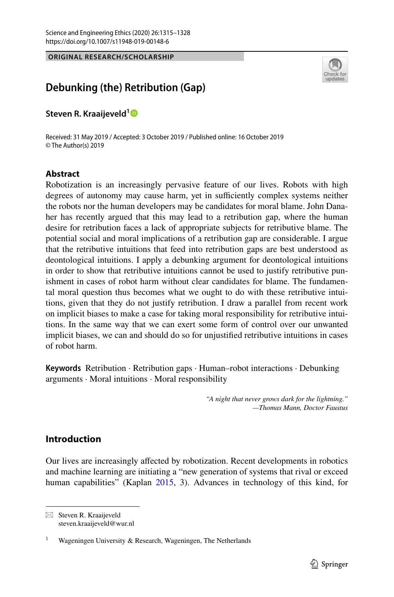**ORIGINAL RESEARCH/SCHOLARSHIP**



# **Debunking (the) Retribution (Gap)**

**Steven R. Kraaijeveld[1](http://orcid.org/0000-0002-6338-6305)**

Received: 31 May 2019 / Accepted: 3 October 2019 / Published online: 16 October 2019 © The Author(s) 2019

#### **Abstract**

Robotization is an increasingly pervasive feature of our lives. Robots with high degrees of autonomy may cause harm, yet in sufficiently complex systems neither the robots nor the human developers may be candidates for moral blame. John Danaher has recently argued that this may lead to a retribution gap, where the human desire for retribution faces a lack of appropriate subjects for retributive blame. The potential social and moral implications of a retribution gap are considerable. I argue that the retributive intuitions that feed into retribution gaps are best understood as deontological intuitions. I apply a debunking argument for deontological intuitions in order to show that retributive intuitions cannot be used to justify retributive punishment in cases of robot harm without clear candidates for blame. The fundamental moral question thus becomes what we ought to do with these retributive intuitions, given that they do not justify retribution. I draw a parallel from recent work on implicit biases to make a case for taking moral responsibility for retributive intuitions. In the same way that we can exert some form of control over our unwanted implicit biases, we can and should do so for unjustifed retributive intuitions in cases of robot harm.

**Keywords** Retribution · Retribution gaps · Human–robot interactions · Debunking arguments · Moral intuitions · Moral responsibility

> *"A night that never grows dark for the lightning." —Thomas Mann, Doctor Faustus*

## **Introduction**

Our lives are increasingly afected by robotization. Recent developments in robotics and machine learning are initiating a "new generation of systems that rival or exceed human capabilities" (Kaplan [2015,](#page-13-0) 3). Advances in technology of this kind, for

 $\boxtimes$  Steven R. Kraaijeveld steven.kraaijeveld@wur.nl

Wageningen University & Research, Wageningen, The Netherlands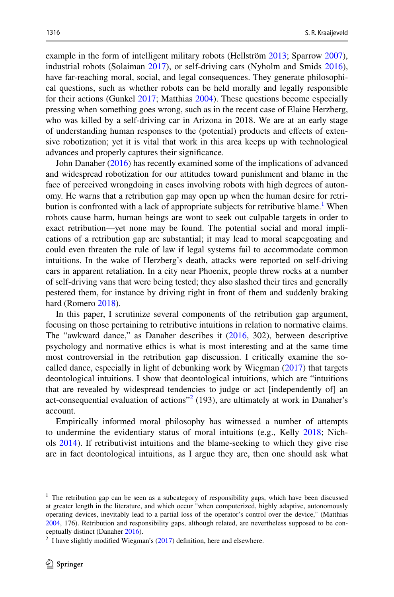example in the form of intelligent military robots (Hellström [2013;](#page-12-0) Sparrow [2007\)](#page-13-1), industrial robots (Solaiman [2017](#page-13-2)), or self-driving cars (Nyholm and Smids [2016\)](#page-13-3), have far-reaching moral, social, and legal consequences. They generate philosophical questions, such as whether robots can be held morally and legally responsible for their actions (Gunkel [2017;](#page-12-1) Matthias [2004\)](#page-13-4). These questions become especially pressing when something goes wrong, such as in the recent case of Elaine Herzberg, who was killed by a self-driving car in Arizona in 2018. We are at an early stage of understanding human responses to the (potential) products and efects of extensive robotization; yet it is vital that work in this area keeps up with technological advances and properly captures their signifcance.

John Danaher ([2016\)](#page-12-2) has recently examined some of the implications of advanced and widespread robotization for our attitudes toward punishment and blame in the face of perceived wrongdoing in cases involving robots with high degrees of autonomy. He warns that a retribution gap may open up when the human desire for retribution is confronted with a lack of appropriate subjects for retributive blame.<sup>1</sup> When robots cause harm, human beings are wont to seek out culpable targets in order to exact retribution—yet none may be found. The potential social and moral implications of a retribution gap are substantial; it may lead to moral scapegoating and could even threaten the rule of law if legal systems fail to accommodate common intuitions. In the wake of Herzberg's death, attacks were reported on self-driving cars in apparent retaliation. In a city near Phoenix, people threw rocks at a number of self-driving vans that were being tested; they also slashed their tires and generally pestered them, for instance by driving right in front of them and suddenly braking hard (Romero [2018](#page-13-5)).

In this paper, I scrutinize several components of the retribution gap argument, focusing on those pertaining to retributive intuitions in relation to normative claims. The "awkward dance," as Danaher describes it [\(2016](#page-12-2), 302), between descriptive psychology and normative ethics is what is most interesting and at the same time most controversial in the retribution gap discussion. I critically examine the socalled dance, especially in light of debunking work by Wiegman ([2017\)](#page-13-6) that targets deontological intuitions. I show that deontological intuitions, which are "intuitions that are revealed by widespread tendencies to judge or act [independently of] an act-consequential evaluation of actions<sup> $2$ </sup> (193), are ultimately at work in Danaher's account.

Empirically informed moral philosophy has witnessed a number of attempts to undermine the evidentiary status of moral intuitions (e.g., Kelly [2018](#page-13-7); Nichols [2014](#page-13-8)). If retributivist intuitions and the blame-seeking to which they give rise are in fact deontological intuitions, as I argue they are, then one should ask what

<span id="page-1-0"></span><sup>&</sup>lt;sup>1</sup> The retribution gap can be seen as a subcategory of responsibility gaps, which have been discussed at greater length in the literature, and which occur "when computerized, highly adaptive, autonomously operating devices, inevitably lead to a partial loss of the operator's control over the device," (Matthias [2004](#page-13-4), 176). Retribution and responsibility gaps, although related, are nevertheless supposed to be conceptually distinct (Danaher [2016](#page-12-2)).

<span id="page-1-1"></span> $2\,$  I have slightly modified Wiegman's [\(2017](#page-13-6)) definition, here and elsewhere.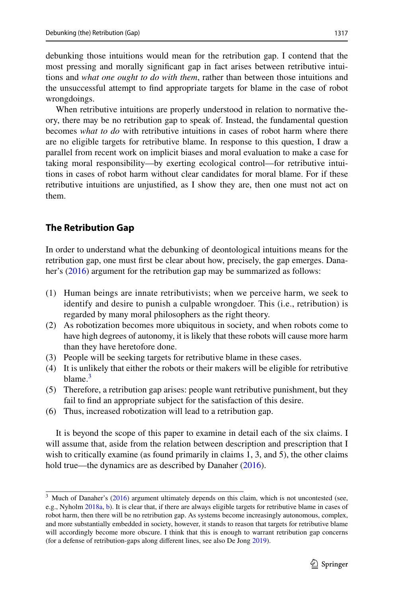debunking those intuitions would mean for the retribution gap. I contend that the most pressing and morally signifcant gap in fact arises between retributive intuitions and *what one ought to do with them*, rather than between those intuitions and the unsuccessful attempt to fnd appropriate targets for blame in the case of robot wrongdoings.

When retributive intuitions are properly understood in relation to normative theory, there may be no retribution gap to speak of. Instead, the fundamental question becomes *what to do* with retributive intuitions in cases of robot harm where there are no eligible targets for retributive blame. In response to this question, I draw a parallel from recent work on implicit biases and moral evaluation to make a case for taking moral responsibility—by exerting ecological control—for retributive intuitions in cases of robot harm without clear candidates for moral blame. For if these retributive intuitions are unjustifed, as I show they are, then one must not act on them.

# **The Retribution Gap**

In order to understand what the debunking of deontological intuitions means for the retribution gap, one must frst be clear about how, precisely, the gap emerges. Dana-her's [\(2016](#page-12-2)) argument for the retribution gap may be summarized as follows:

- (1) Human beings are innate retributivists; when we perceive harm, we seek to identify and desire to punish a culpable wrongdoer. This (i.e., retribution) is regarded by many moral philosophers as the right theory.
- (2) As robotization becomes more ubiquitous in society, and when robots come to have high degrees of autonomy, it is likely that these robots will cause more harm than they have heretofore done.
- (3) People will be seeking targets for retributive blame in these cases.
- (4) It is unlikely that either the robots or their makers will be eligible for retributive blame.<sup>[3](#page-2-0)</sup>
- (5) Therefore, a retribution gap arises: people want retributive punishment, but they fail to fnd an appropriate subject for the satisfaction of this desire.
- (6) Thus, increased robotization will lead to a retribution gap.

It is beyond the scope of this paper to examine in detail each of the six claims. I will assume that, aside from the relation between description and prescription that I wish to critically examine (as found primarily in claims 1, 3, and 5), the other claims hold true—the dynamics are as described by Danaher [\(2016](#page-12-2)).

<span id="page-2-0"></span><sup>&</sup>lt;sup>3</sup> Much of Danaher's ([2016\)](#page-12-2) argument ultimately depends on this claim, which is not uncontested (see, e.g., Nyholm [2018a](#page-13-9), [b](#page-13-10)). It is clear that, if there are always eligible targets for retributive blame in cases of robot harm, then there will be no retribution gap. As systems become increasingly autonomous, complex, and more substantially embedded in society, however, it stands to reason that targets for retributive blame will accordingly become more obscure. I think that this is enough to warrant retribution gap concerns (for a defense of retribution-gaps along diferent lines, see also De Jong [2019\)](#page-12-3).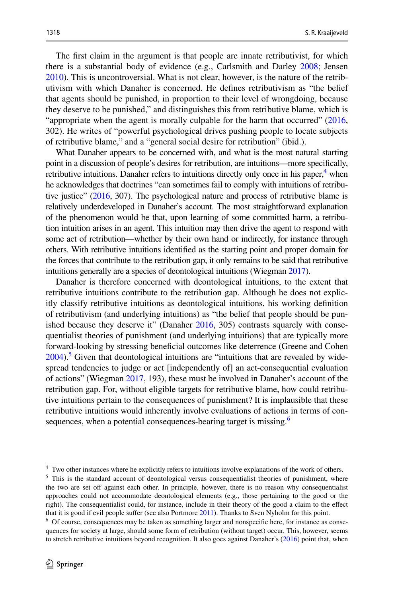The first claim in the argument is that people are innate retributivist, for which there is a substantial body of evidence (e.g., Carlsmith and Darley [2008;](#page-12-4) Jensen [2010](#page-12-5)). This is uncontroversial. What is not clear, however, is the nature of the retributivism with which Danaher is concerned. He defnes retributivism as "the belief that agents should be punished, in proportion to their level of wrongdoing, because they deserve to be punished," and distinguishes this from retributive blame, which is "appropriate when the agent is morally culpable for the harm that occurred" ([2016,](#page-12-2) 302). He writes of "powerful psychological drives pushing people to locate subjects of retributive blame," and a "general social desire for retribution" (ibid.).

What Danaher appears to be concerned with, and what is the most natural starting point in a discussion of people's desires for retribution, are intuitions—more specifcally, retributive intuitions. Danaher refers to intuitions directly only once in his paper,<sup>4</sup> when he acknowledges that doctrines "can sometimes fail to comply with intuitions of retributive justice" ([2016,](#page-12-2) 307). The psychological nature and process of retributive blame is relatively underdeveloped in Danaher's account. The most straightforward explanation of the phenomenon would be that, upon learning of some committed harm, a retribution intuition arises in an agent. This intuition may then drive the agent to respond with some act of retribution—whether by their own hand or indirectly, for instance through others. With retributive intuitions identifed as the starting point and proper domain for the forces that contribute to the retribution gap, it only remains to be said that retributive intuitions generally are a species of deontological intuitions (Wiegman [2017](#page-13-6)).

Danaher is therefore concerned with deontological intuitions, to the extent that retributive intuitions contribute to the retribution gap. Although he does not explicitly classify retributive intuitions as deontological intuitions, his working defnition of retributivism (and underlying intuitions) as "the belief that people should be pun-ished because they deserve it" (Danaher [2016](#page-12-2), 305) contrasts squarely with consequentialist theories of punishment (and underlying intuitions) that are typically more forward-looking by stressing benefcial outcomes like deterrence (Greene and Cohen  $2004$ <sup>[5](#page-3-1)</sup>. Given that deontological intuitions are "intuitions that are revealed by widespread tendencies to judge or act [independently of] an act-consequential evaluation of actions" (Wiegman [2017](#page-13-6), 193), these must be involved in Danaher's account of the retribution gap. For, without eligible targets for retributive blame, how could retributive intuitions pertain to the consequences of punishment? It is implausible that these retributive intuitions would inherently involve evaluations of actions in terms of consequences, when a potential consequences-bearing target is missing.<sup>6</sup>

<span id="page-3-0"></span><sup>4</sup> Two other instances where he explicitly refers to intuitions involve explanations of the work of others.

<span id="page-3-1"></span><sup>&</sup>lt;sup>5</sup> This is the standard account of deontological versus consequentialist theories of punishment, where the two are set off against each other. In principle, however, there is no reason why consequentialist approaches could not accommodate deontological elements (e.g., those pertaining to the good or the right). The consequentialist could, for instance, include in their theory of the good a claim to the efect that it is good if evil people sufer (see also Portmore [2011\)](#page-13-11). Thanks to Sven Nyholm for this point.

<span id="page-3-2"></span><sup>6</sup> Of course, consequences may be taken as something larger and nonspecifc here, for instance as consequences for society at large, should some form of retribution (without target) occur. This, however, seems to stretch retributive intuitions beyond recognition. It also goes against Danaher's ([2016\)](#page-12-2) point that, when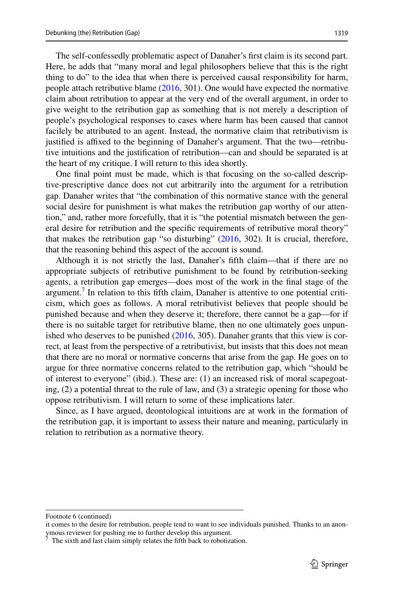The self-confessedly problematic aspect of Danaher's frst claim is its second part. Here, he adds that "many moral and legal philosophers believe that this is the right thing to do" to the idea that when there is perceived causal responsibility for harm, people attach retributive blame [\(2016](#page-12-2), 301). One would have expected the normative claim about retribution to appear at the very end of the overall argument, in order to give weight to the retribution gap as something that is not merely a description of people's psychological responses to cases where harm has been caused that cannot facilely be attributed to an agent. Instead, the normative claim that retributivism is justified is affixed to the beginning of Danaher's argument. That the two—retributive intuitions and the justifcation of retribution—can and should be separated is at the heart of my critique. I will return to this idea shortly.

One fnal point must be made, which is that focusing on the so-called descriptive-prescriptive dance does not cut arbitrarily into the argument for a retribution gap. Danaher writes that "the combination of this normative stance with the general social desire for punishment is what makes the retribution gap worthy of our attention," and, rather more forcefully, that it is "the potential mismatch between the general desire for retribution and the specifc requirements of retributive moral theory" that makes the retribution gap "so disturbing" ([2016,](#page-12-2) 302). It is crucial, therefore, that the reasoning behind this aspect of the account is sound.

Although it is not strictly the last, Danaher's ffth claim—that if there are no appropriate subjects of retributive punishment to be found by retribution-seeking agents, a retribution gap emerges—does most of the work in the fnal stage of the argument.<sup>[7](#page-4-0)</sup> In relation to this fifth claim, Danaher is attentive to one potential criticism, which goes as follows. A moral retributivist believes that people should be punished because and when they deserve it; therefore, there cannot be a gap—for if there is no suitable target for retributive blame, then no one ultimately goes unpunished who deserves to be punished  $(2016, 305)$  $(2016, 305)$ . Danaher grants that this view is correct, at least from the perspective of a retributivist, but insists that this does not mean that there are no moral or normative concerns that arise from the gap. He goes on to argue for three normative concerns related to the retribution gap, which "should be of interest to everyone" (ibid.). These are: (1) an increased risk of moral scapegoating, (2) a potential threat to the rule of law, and (3) a strategic opening for those who oppose retributivism. I will return to some of these implications later.

Since, as I have argued, deontological intuitions are at work in the formation of the retribution gap, it is important to assess their nature and meaning, particularly in relation to retribution as a normative theory.

Footnote 6 (continued)

it comes to the desire for retribution, people tend to want to see individuals punished. Thanks to an anonymous reviewer for pushing me to further develop this argument.

<span id="page-4-0"></span>The sixth and last claim simply relates the fifth back to robotization.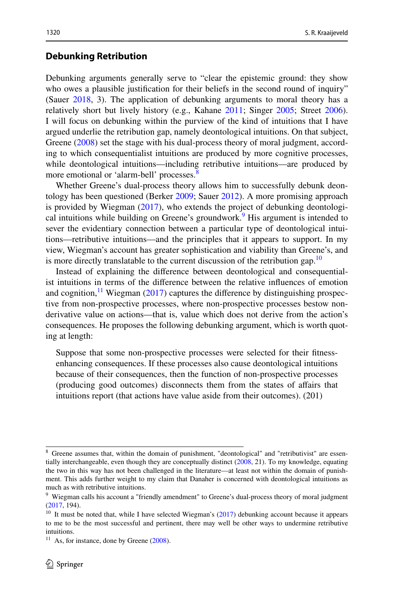#### **Debunking Retribution**

Debunking arguments generally serve to "clear the epistemic ground: they show who owes a plausible justification for their beliefs in the second round of inquiry" (Sauer [2018](#page-13-12), 3). The application of debunking arguments to moral theory has a relatively short but lively history (e.g., Kahane [2011](#page-12-7); Singer [2005](#page-13-13); Street [2006\)](#page-13-14). I will focus on debunking within the purview of the kind of intuitions that I have argued underlie the retribution gap, namely deontological intuitions. On that subject, Greene ([2008\)](#page-12-8) set the stage with his dual-process theory of moral judgment, according to which consequentialist intuitions are produced by more cognitive processes, while deontological intuitions—including retributive intuitions—are produced by more emotional or 'alarm-bell' processes.<sup>[8](#page-5-0)</sup>

Whether Greene's dual-process theory allows him to successfully debunk deontology has been questioned (Berker [2009;](#page-12-9) Sauer [2012\)](#page-13-15). A more promising approach is provided by Wiegman [\(2017](#page-13-6)), who extends the project of debunking deontologi-cal intuitions while building on Greene's groundwork.<sup>[9](#page-5-1)</sup> His argument is intended to sever the evidentiary connection between a particular type of deontological intuitions—retributive intuitions—and the principles that it appears to support. In my view, Wiegman's account has greater sophistication and viability than Greene's, and is more directly translatable to the current discussion of the retribution gap.<sup>[10](#page-5-2)</sup>

Instead of explaining the diference between deontological and consequentialist intuitions in terms of the diference between the relative infuences of emotion and cognition, <sup>[11](#page-5-3)</sup> Wiegman ([2017\)](#page-13-6) captures the difference by distinguishing prospective from non-prospective processes, where non-prospective processes bestow nonderivative value on actions—that is, value which does not derive from the action's consequences. He proposes the following debunking argument, which is worth quoting at length:

Suppose that some non-prospective processes were selected for their ftnessenhancing consequences. If these processes also cause deontological intuitions because of their consequences, then the function of non-prospective processes (producing good outcomes) disconnects them from the states of afairs that intuitions report (that actions have value aside from their outcomes). (201)

<span id="page-5-0"></span><sup>&</sup>lt;sup>8</sup> Greene assumes that, within the domain of punishment, "deontological" and "retributivist" are essentially interchangeable, even though they are conceptually distinct [\(2008](#page-12-8), 21). To my knowledge, equating the two in this way has not been challenged in the literature—at least not within the domain of punishment. This adds further weight to my claim that Danaher is concerned with deontological intuitions as much as with retributive intuitions.

<span id="page-5-1"></span><sup>&</sup>lt;sup>9</sup> Wiegman calls his account a "friendly amendment" to Greene's dual-process theory of moral judgment ([2017,](#page-13-6) 194).

<span id="page-5-2"></span><sup>&</sup>lt;sup>10</sup> It must be noted that, while I have selected Wiegman's  $(2017)$  $(2017)$  debunking account because it appears to me to be the most successful and pertinent, there may well be other ways to undermine retributive intuitions.

<span id="page-5-3"></span> $11$  As, for instance, done by Greene ([2008\)](#page-12-8).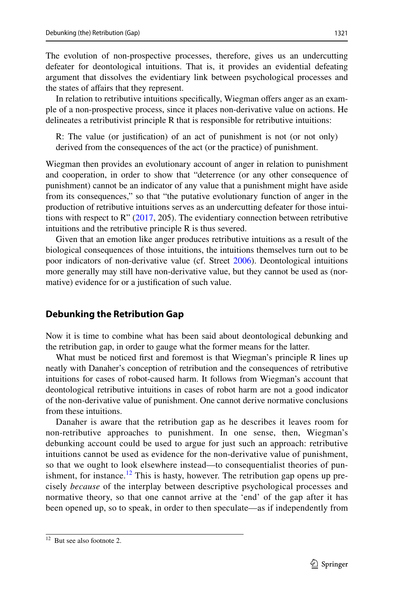The evolution of non-prospective processes, therefore, gives us an undercutting defeater for deontological intuitions. That is, it provides an evidential defeating argument that dissolves the evidentiary link between psychological processes and the states of afairs that they represent.

In relation to retributive intuitions specifcally, Wiegman ofers anger as an example of a non-prospective process, since it places non-derivative value on actions. He delineates a retributivist principle R that is responsible for retributive intuitions:

R: The value (or justifcation) of an act of punishment is not (or not only) derived from the consequences of the act (or the practice) of punishment.

Wiegman then provides an evolutionary account of anger in relation to punishment and cooperation, in order to show that "deterrence (or any other consequence of punishment) cannot be an indicator of any value that a punishment might have aside from its consequences," so that "the putative evolutionary function of anger in the production of retributive intuitions serves as an undercutting defeater for those intuitions with respect to  $R''(2017, 205)$  $R''(2017, 205)$  $R''(2017, 205)$ . The evidentiary connection between retributive intuitions and the retributive principle R is thus severed.

Given that an emotion like anger produces retributive intuitions as a result of the biological consequences of those intuitions, the intuitions themselves turn out to be poor indicators of non-derivative value (cf. Street [2006](#page-13-14)). Deontological intuitions more generally may still have non-derivative value, but they cannot be used as (normative) evidence for or a justifcation of such value.

# **Debunking the Retribution Gap**

Now it is time to combine what has been said about deontological debunking and the retribution gap, in order to gauge what the former means for the latter.

What must be noticed frst and foremost is that Wiegman's principle R lines up neatly with Danaher's conception of retribution and the consequences of retributive intuitions for cases of robot-caused harm. It follows from Wiegman's account that deontological retributive intuitions in cases of robot harm are not a good indicator of the non-derivative value of punishment. One cannot derive normative conclusions from these intuitions.

Danaher is aware that the retribution gap as he describes it leaves room for non-retributive approaches to punishment. In one sense, then, Wiegman's debunking account could be used to argue for just such an approach: retributive intuitions cannot be used as evidence for the non-derivative value of punishment, so that we ought to look elsewhere instead—to consequentialist theories of punishment, for instance.<sup>12</sup> This is hasty, however. The retribution gap opens up precisely *because* of the interplay between descriptive psychological processes and normative theory, so that one cannot arrive at the 'end' of the gap after it has been opened up, so to speak, in order to then speculate—as if independently from

<span id="page-6-0"></span><sup>12</sup> But see also footnote 2.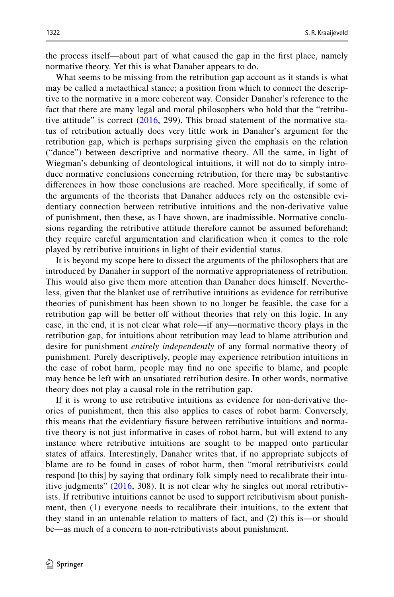the process itself—about part of what caused the gap in the frst place, namely normative theory. Yet this is what Danaher appears to do.

What seems to be missing from the retribution gap account as it stands is what may be called a metaethical stance; a position from which to connect the descriptive to the normative in a more coherent way. Consider Danaher's reference to the fact that there are many legal and moral philosophers who hold that the "retributive attitude" is correct ([2016](#page-12-2), 299). This broad statement of the normative status of retribution actually does very little work in Danaher's argument for the retribution gap, which is perhaps surprising given the emphasis on the relation ("dance") between descriptive and normative theory. All the same, in light of Wiegman's debunking of deontological intuitions, it will not do to simply introduce normative conclusions concerning retribution, for there may be substantive diferences in how those conclusions are reached. More specifcally, if some of the arguments of the theorists that Danaher adduces rely on the ostensible evidentiary connection between retributive intuitions and the non-derivative value of punishment, then these, as I have shown, are inadmissible. Normative conclusions regarding the retributive attitude therefore cannot be assumed beforehand; they require careful argumentation and clarifcation when it comes to the role played by retributive intuitions in light of their evidential status.

It is beyond my scope here to dissect the arguments of the philosophers that are introduced by Danaher in support of the normative appropriateness of retribution. This would also give them more attention than Danaher does himself. Nevertheless, given that the blanket use of retributive intuitions as evidence for retributive theories of punishment has been shown to no longer be feasible, the case for a retribution gap will be better off without theories that rely on this logic. In any case, in the end, it is not clear what role—if any—normative theory plays in the retribution gap, for intuitions about retribution may lead to blame attribution and desire for punishment *entirely independently* of any formal normative theory of punishment. Purely descriptively, people may experience retribution intuitions in the case of robot harm, people may fnd no one specifc to blame, and people may hence be left with an unsatiated retribution desire. In other words, normative theory does not play a causal role in the retribution gap.

If it is wrong to use retributive intuitions as evidence for non-derivative theories of punishment, then this also applies to cases of robot harm. Conversely, this means that the evidentiary fssure between retributive intuitions and normative theory is not just informative in cases of robot harm, but will extend to any instance where retributive intuitions are sought to be mapped onto particular states of afairs. Interestingly, Danaher writes that, if no appropriate subjects of blame are to be found in cases of robot harm, then "moral retributivists could respond [to this] by saying that ordinary folk simply need to recalibrate their intuitive judgments" ([2016](#page-12-2), 308). It is not clear why he singles out moral retributivists. If retributive intuitions cannot be used to support retributivism about punishment, then (1) everyone needs to recalibrate their intuitions, to the extent that they stand in an untenable relation to matters of fact, and (2) this is—or should be—as much of a concern to non-retributivists about punishment.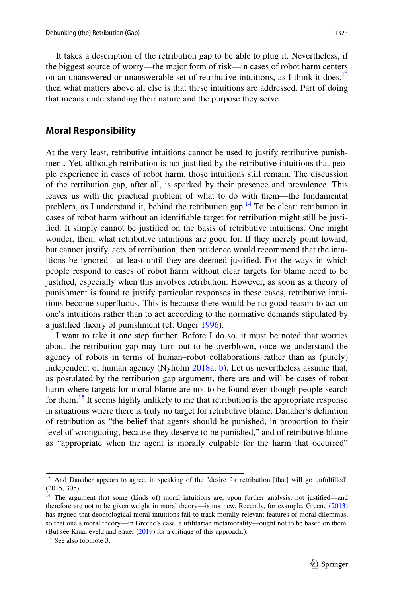It takes a description of the retribution gap to be able to plug it. Nevertheless, if the biggest source of worry—the major form of risk—in cases of robot harm centers on an unanswered or unanswerable set of retributive intuitions, as I think it does,  $13$ then what matters above all else is that these intuitions are addressed. Part of doing that means understanding their nature and the purpose they serve.

#### **Moral Responsibility**

At the very least, retributive intuitions cannot be used to justify retributive punishment. Yet, although retribution is not justifed by the retributive intuitions that people experience in cases of robot harm, those intuitions still remain. The discussion of the retribution gap, after all, is sparked by their presence and prevalence. This leaves us with the practical problem of what to do with them—the fundamental problem, as I understand it, behind the retribution gap.<sup>14</sup> To be clear: retribution in cases of robot harm without an identifable target for retribution might still be justifed. It simply cannot be justifed on the basis of retributive intuitions. One might wonder, then, what retributive intuitions are good for. If they merely point toward, but cannot justify, acts of retribution, then prudence would recommend that the intuitions be ignored—at least until they are deemed justifed. For the ways in which people respond to cases of robot harm without clear targets for blame need to be justifed, especially when this involves retribution. However, as soon as a theory of punishment is found to justify particular responses in these cases, retributive intuitions become superfuous. This is because there would be no good reason to act on one's intuitions rather than to act according to the normative demands stipulated by a justifed theory of punishment (cf. Unger [1996](#page-13-16)).

I want to take it one step further. Before I do so, it must be noted that worries about the retribution gap may turn out to be overblown, once we understand the agency of robots in terms of human–robot collaborations rather than as (purely) independent of human agency (Nyholm [2018a,](#page-13-9) [b](#page-13-10)). Let us nevertheless assume that, as postulated by the retribution gap argument, there are and will be cases of robot harm where targets for moral blame are not to be found even though people search for them.<sup>[15](#page-8-2)</sup> It seems highly unlikely to me that retribution is the appropriate response in situations where there is truly no target for retributive blame. Danaher's defnition of retribution as "the belief that agents should be punished, in proportion to their level of wrongdoing, because they deserve to be punished," and of retributive blame as "appropriate when the agent is morally culpable for the harm that occurred"

<span id="page-8-0"></span><sup>&</sup>lt;sup>13</sup> And Danaher appears to agree, in speaking of the "desire for retribution [that] will go unfulfilled" (2015, 305).

<span id="page-8-1"></span><sup>&</sup>lt;sup>14</sup> The argument that some (kinds of) moral intuitions are, upon further analysis, not justified—and therefore are not to be given weight in moral theory—is not new. Recently, for example, Greene ([2013\)](#page-12-10) has argued that deontological moral intuitions fail to track morally relevant features of moral dilemmas, so that one's moral theory—in Greene's case, a utilitarian metamorality—ought not to be based on them. (But see Kraaijeveld and Sauer ([2019\)](#page-13-17) for a critique of this approach.).

<span id="page-8-2"></span><sup>&</sup>lt;sup>15</sup> See also footnote 3.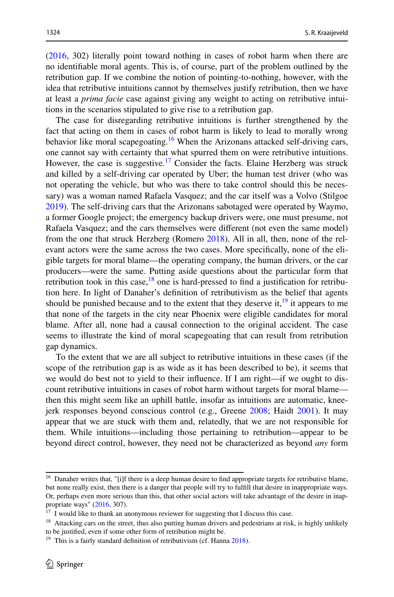[\(2016](#page-12-2), 302) literally point toward nothing in cases of robot harm when there are no identifable moral agents. This is, of course, part of the problem outlined by the retribution gap. If we combine the notion of pointing-to-nothing, however, with the idea that retributive intuitions cannot by themselves justify retribution, then we have at least a *prima facie* case against giving any weight to acting on retributive intuitions in the scenarios stipulated to give rise to a retribution gap.

The case for disregarding retributive intuitions is further strengthened by the fact that acting on them in cases of robot harm is likely to lead to morally wrong behavior like moral scapegoating.<sup>16</sup> When the Arizonans attacked self-driving cars, one cannot say with certainty that what spurred them on were retributive intuitions. However, the case is suggestive.<sup>17</sup> Consider the facts. Elaine Herzberg was struck and killed by a self-driving car operated by Uber; the human test driver (who was not operating the vehicle, but who was there to take control should this be necessary) was a woman named Rafaela Vasquez; and the car itself was a Volvo (Stilgoe [2019](#page-13-18)). The self-driving cars that the Arizonans sabotaged were operated by Waymo, a former Google project; the emergency backup drivers were, one must presume, not Rafaela Vasquez; and the cars themselves were diferent (not even the same model) from the one that struck Herzberg (Romero [2018\)](#page-13-5). All in all, then, none of the relevant actors were the same across the two cases. More specifcally, none of the eligible targets for moral blame—the operating company, the human drivers, or the car producers—were the same. Putting aside questions about the particular form that retribution took in this case,  $^{18}$  one is hard-pressed to find a justification for retribution here. In light of Danaher's defnition of retributivism as the belief that agents should be punished because and to the extent that they deserve it,  $\frac{19}{12}$  it appears to me that none of the targets in the city near Phoenix were eligible candidates for moral blame. After all, none had a causal connection to the original accident. The case seems to illustrate the kind of moral scapegoating that can result from retribution gap dynamics.

To the extent that we are all subject to retributive intuitions in these cases (if the scope of the retribution gap is as wide as it has been described to be), it seems that we would do best not to yield to their infuence. If I am right—if we ought to discount retributive intuitions in cases of robot harm without targets for moral blame then this might seem like an uphill battle, insofar as intuitions are automatic, kneejerk responses beyond conscious control (e.g., Greene [2008;](#page-12-8) Haidt [2001\)](#page-12-11). It may appear that we are stuck with them and, relatedly, that we are not responsible for them. While intuitions—including those pertaining to retribution—appear to be beyond direct control, however, they need not be characterized as beyond *any* form

<span id="page-9-0"></span><sup>&</sup>lt;sup>16</sup> Danaher writes that, "[i]f there is a deep human desire to find appropriate targets for retributive blame, but none really exist, then there is a danger that people will try to fulfll that desire in inappropriate ways. Or, perhaps even more serious than this, that other social actors will take advantage of the desire in inappropriate ways" ([2016,](#page-12-2) 307).

<span id="page-9-1"></span> $17$  I would like to thank an anonymous reviewer for suggesting that I discuss this case.

<span id="page-9-2"></span><sup>&</sup>lt;sup>18</sup> Attacking cars on the street, thus also putting human drivers and pedestrians at risk, is highly unlikely to be justifed, even if some other form of retribution might be.

<span id="page-9-3"></span><sup>&</sup>lt;sup>19</sup> This is a fairly standard definition of retributivism (cf. Hanna  $2018$ ).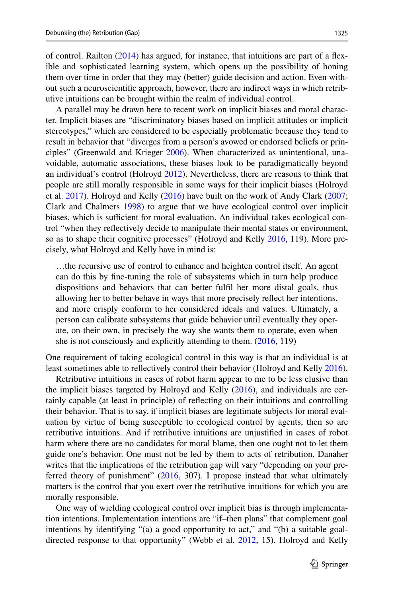of control. Railton ([2014\)](#page-13-19) has argued, for instance, that intuitions are part of a fexible and sophisticated learning system, which opens up the possibility of honing them over time in order that they may (better) guide decision and action. Even without such a neuroscientifc approach, however, there are indirect ways in which retributive intuitions can be brought within the realm of individual control.

A parallel may be drawn here to recent work on implicit biases and moral character. Implicit biases are "discriminatory biases based on implicit attitudes or implicit stereotypes," which are considered to be especially problematic because they tend to result in behavior that "diverges from a person's avowed or endorsed beliefs or principles" (Greenwald and Krieger [2006](#page-12-13)). When characterized as unintentional, unavoidable, automatic associations, these biases look to be paradigmatically beyond an individual's control (Holroyd [2012\)](#page-12-14). Nevertheless, there are reasons to think that people are still morally responsible in some ways for their implicit biases (Holroyd et al. [2017](#page-12-15)). Holroyd and Kelly ([2016\)](#page-12-16) have built on the work of Andy Clark ([2007;](#page-12-17) Clark and Chalmers [1998\)](#page-12-18) to argue that we have ecological control over implicit biases, which is sufficient for moral evaluation. An individual takes ecological control "when they refectively decide to manipulate their mental states or environment, so as to shape their cognitive processes" (Holroyd and Kelly [2016,](#page-12-16) 119). More precisely, what Holroyd and Kelly have in mind is:

…the recursive use of control to enhance and heighten control itself. An agent can do this by fne-tuning the role of subsystems which in turn help produce dispositions and behaviors that can better fulfl her more distal goals, thus allowing her to better behave in ways that more precisely refect her intentions, and more crisply conform to her considered ideals and values. Ultimately, a person can calibrate subsystems that guide behavior until eventually they operate, on their own, in precisely the way she wants them to operate, even when she is not consciously and explicitly attending to them. [\(2016](#page-12-16), 119)

One requirement of taking ecological control in this way is that an individual is at least sometimes able to refectively control their behavior (Holroyd and Kelly [2016](#page-12-16)).

Retributive intuitions in cases of robot harm appear to me to be less elusive than the implicit biases targeted by Holroyd and Kelly ([2016\)](#page-12-16), and individuals are certainly capable (at least in principle) of refecting on their intuitions and controlling their behavior. That is to say, if implicit biases are legitimate subjects for moral evaluation by virtue of being susceptible to ecological control by agents, then so are retributive intuitions. And if retributive intuitions are unjustifed in cases of robot harm where there are no candidates for moral blame, then one ought not to let them guide one's behavior. One must not be led by them to acts of retribution. Danaher writes that the implications of the retribution gap will vary "depending on your pre-ferred theory of punishment" [\(2016](#page-12-16), 307). I propose instead that what ultimately matters is the control that you exert over the retributive intuitions for which you are morally responsible.

One way of wielding ecological control over implicit bias is through implementation intentions. Implementation intentions are "if–then plans" that complement goal intentions by identifying "(a) a good opportunity to act," and "(b) a suitable goal-directed response to that opportunity" (Webb et al. [2012,](#page-13-20) 15). Holroyd and Kelly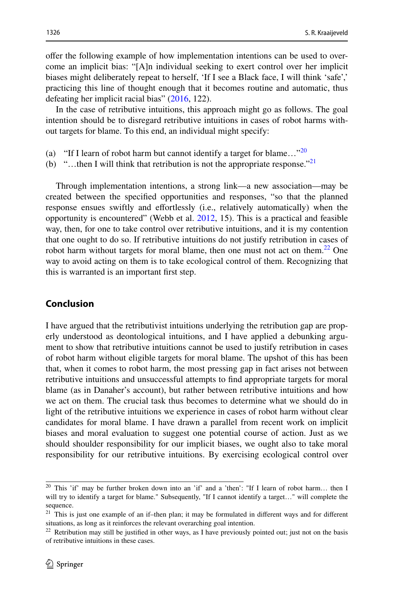ofer the following example of how implementation intentions can be used to overcome an implicit bias: "[A]n individual seeking to exert control over her implicit biases might deliberately repeat to herself, 'If I see a Black face, I will think 'safe',' practicing this line of thought enough that it becomes routine and automatic, thus defeating her implicit racial bias" [\(2016](#page-12-16), 122).

In the case of retributive intuitions, this approach might go as follows. The goal intention should be to disregard retributive intuitions in cases of robot harms without targets for blame. To this end, an individual might specify:

- (a) "If I learn of robot harm but cannot identify a target for blame..."<sup>[20](#page-11-0)</sup>
- (b) "...then I will think that retribution is not the appropriate response."<sup>[21](#page-11-1)</sup>

Through implementation intentions, a strong link—a new association—may be created between the specifed opportunities and responses, "so that the planned response ensues swiftly and efortlessly (i.e., relatively automatically) when the opportunity is encountered" (Webb et al. [2012,](#page-13-20) 15). This is a practical and feasible way, then, for one to take control over retributive intuitions, and it is my contention that one ought to do so. If retributive intuitions do not justify retribution in cases of robot harm without targets for moral blame, then one must not act on them. $22$  One way to avoid acting on them is to take ecological control of them. Recognizing that this is warranted is an important frst step.

# **Conclusion**

I have argued that the retributivist intuitions underlying the retribution gap are properly understood as deontological intuitions, and I have applied a debunking argument to show that retributive intuitions cannot be used to justify retribution in cases of robot harm without eligible targets for moral blame. The upshot of this has been that, when it comes to robot harm, the most pressing gap in fact arises not between retributive intuitions and unsuccessful attempts to fnd appropriate targets for moral blame (as in Danaher's account), but rather between retributive intuitions and how we act on them. The crucial task thus becomes to determine what we should do in light of the retributive intuitions we experience in cases of robot harm without clear candidates for moral blame. I have drawn a parallel from recent work on implicit biases and moral evaluation to suggest one potential course of action. Just as we should shoulder responsibility for our implicit biases, we ought also to take moral responsibility for our retributive intuitions. By exercising ecological control over

<span id="page-11-0"></span> $20$  This 'if' may be further broken down into an 'if' and a 'then': "If I learn of robot harm... then I will try to identify a target for blame." Subsequently, "If I cannot identify a target..." will complete the sequence.

<span id="page-11-1"></span><sup>&</sup>lt;sup>21</sup> This is just one example of an if-then plan; it may be formulated in different ways and for different situations, as long as it reinforces the relevant overarching goal intention.

<span id="page-11-2"></span> $22$  Retribution may still be justified in other ways, as I have previously pointed out; just not on the basis of retributive intuitions in these cases.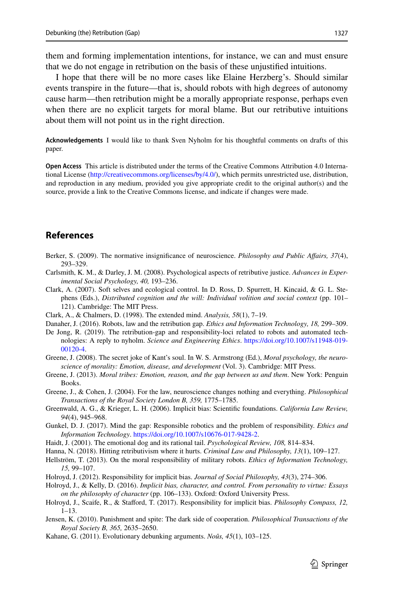them and forming implementation intentions, for instance, we can and must ensure that we do not engage in retribution on the basis of these unjustifed intuitions.

I hope that there will be no more cases like Elaine Herzberg's. Should similar events transpire in the future—that is, should robots with high degrees of autonomy cause harm—then retribution might be a morally appropriate response, perhaps even when there are no explicit targets for moral blame. But our retributive intuitions about them will not point us in the right direction.

**Acknowledgements** I would like to thank Sven Nyholm for his thoughtful comments on drafts of this paper.

**Open Access** This article is distributed under the terms of the Creative Commons Attribution 4.0 International License ([http://creativecommons.org/licenses/by/4.0/\)](http://creativecommons.org/licenses/by/4.0/), which permits unrestricted use, distribution, and reproduction in any medium, provided you give appropriate credit to the original author(s) and the source, provide a link to the Creative Commons license, and indicate if changes were made.

### **References**

- <span id="page-12-9"></span>Berker, S. (2009). The normative insignifcance of neuroscience. *Philosophy and Public Afairs, 37*(4), 293–329.
- <span id="page-12-4"></span>Carlsmith, K. M., & Darley, J. M. (2008). Psychological aspects of retributive justice. *Advances in Experimental Social Psychology, 40,* 193–236.
- <span id="page-12-17"></span>Clark, A. (2007). Soft selves and ecological control. In D. Ross, D. Spurrett, H. Kincaid, & G. L. Stephens (Eds.), *Distributed cognition and the will: Individual volition and social context* (pp. 101– 121). Cambridge: The MIT Press.
- <span id="page-12-18"></span>Clark, A., & Chalmers, D. (1998). The extended mind. *Analysis, 58*(1), 7–19.
- <span id="page-12-2"></span>Danaher, J. (2016). Robots, law and the retribution gap. *Ethics and Information Technology, 18,* 299–309.
- <span id="page-12-3"></span>De Jong, R. (2019). The retribution-gap and responsibility-loci related to robots and automated technologies: A reply to nyholm. *Science and Engineering Ethics*. [https://doi.org/10.1007/s11948-019-](https://doi.org/10.1007/s11948-019-00120-4) [00120-4.](https://doi.org/10.1007/s11948-019-00120-4)
- <span id="page-12-8"></span>Greene, J. (2008). The secret joke of Kant's soul. In W. S. Armstrong (Ed.), *Moral psychology, the neuroscience of morality: Emotion, disease, and development* (Vol. 3). Cambridge: MIT Press.
- <span id="page-12-10"></span>Greene, J. (2013). *Moral tribes: Emotion, reason, and the gap between us and them*. New York: Penguin Books.
- <span id="page-12-6"></span>Greene, J., & Cohen, J. (2004). For the law, neuroscience changes nothing and everything. *Philosophical Transactions of the Royal Society London B, 359,* 1775–1785.
- <span id="page-12-13"></span>Greenwald, A. G., & Krieger, L. H. (2006). Implicit bias: Scientifc foundations. *California Law Review, 94*(4), 945–968.
- <span id="page-12-1"></span>Gunkel, D. J. (2017). Mind the gap: Responsible robotics and the problem of responsibility. *Ethics and Information Technology*. <https://doi.org/10.1007/s10676-017-9428-2>.
- <span id="page-12-11"></span>Haidt, J. (2001). The emotional dog and its rational tail. *Psychological Review, 108,* 814–834.
- <span id="page-12-12"></span>Hanna, N. (2018). Hitting retributivism where it hurts. *Criminal Law and Philosophy, 13*(1), 109–127.
- <span id="page-12-0"></span>Hellström, T. (2013). On the moral responsibility of military robots. *Ethics of Information Technology, 15,* 99–107.
- <span id="page-12-14"></span>Holroyd, J. (2012). Responsibility for implicit bias. *Journal of Social Philosophy, 43*(3), 274–306.
- <span id="page-12-16"></span>Holroyd, J., & Kelly, D. (2016). *Implicit bias, character, and control. From personality to virtue: Essays on the philosophy of character* (pp. 106–133). Oxford: Oxford University Press.
- <span id="page-12-15"></span>Holroyd, J., Scaife, R., & Staford, T. (2017). Responsibility for implicit bias. *Philosophy Compass, 12,* 1–13.
- <span id="page-12-5"></span>Jensen, K. (2010). Punishment and spite: The dark side of cooperation. *Philosophical Transactions of the Royal Society B, 365,* 2635–2650.
- <span id="page-12-7"></span>Kahane, G. (2011). Evolutionary debunking arguments. *Noûs, 45*(1), 103–125.